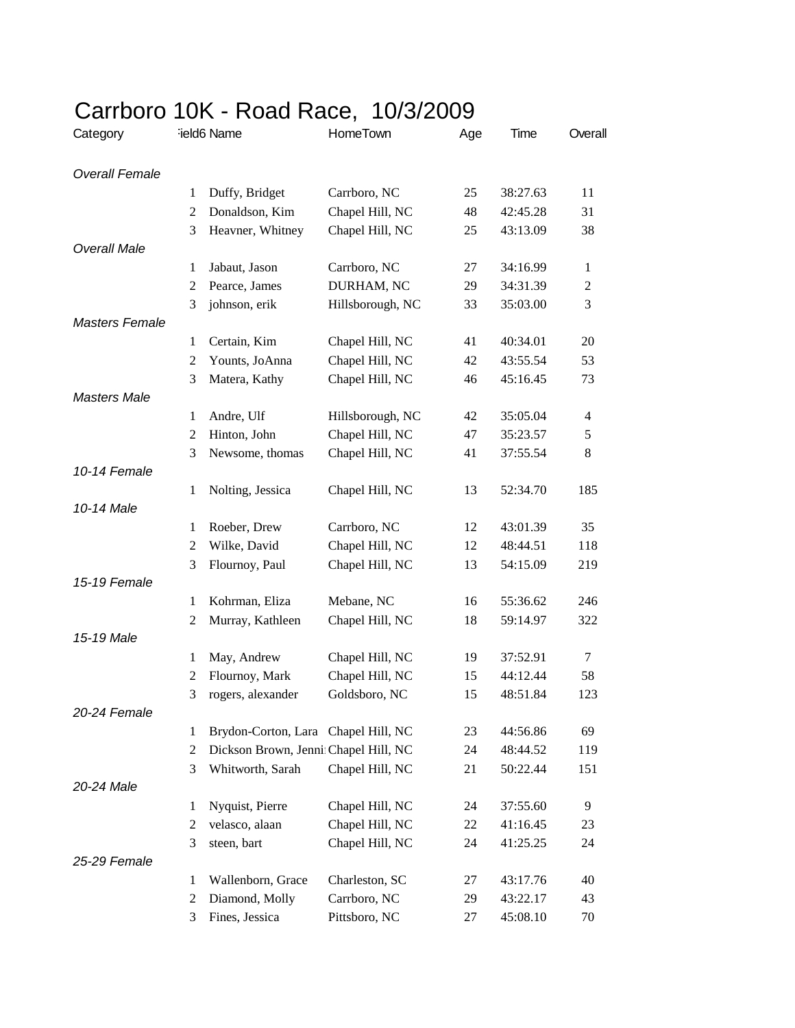| <b>UULLUULU</b>       |                | $1011$ $1000$ $1000$ , $1000$ $2000$ |                                    |     |          |                |
|-----------------------|----------------|--------------------------------------|------------------------------------|-----|----------|----------------|
| Category              |                | ield6 Name                           | HomeTown                           | Age | Time     | Overall        |
| <b>Overall Female</b> |                |                                      |                                    |     |          |                |
|                       | 1              | Duffy, Bridget                       | Carrboro, NC                       | 25  | 38:27.63 | 11             |
|                       | 2              | Donaldson, Kim                       | Chapel Hill, NC                    | 48  | 42:45.28 | 31             |
|                       | 3              | Heavner, Whitney                     | Chapel Hill, NC                    | 25  | 43:13.09 | 38             |
| <b>Overall Male</b>   |                |                                      |                                    |     |          |                |
|                       | 1              | Jabaut, Jason                        | Carrboro, NC                       | 27  | 34:16.99 | 1              |
|                       | 2              | Pearce, James                        | DURHAM, NC                         | 29  | 34:31.39 | $\overline{c}$ |
|                       | 3              | johnson, erik                        | Hillsborough, NC                   | 33  | 35:03.00 | 3              |
| <b>Masters Female</b> |                |                                      |                                    |     |          |                |
|                       | 1              | Certain, Kim                         | Chapel Hill, NC                    | 41  | 40:34.01 | 20             |
|                       | 2              | Younts, JoAnna                       | Chapel Hill, NC                    | 42  | 43:55.54 | 53             |
|                       | 3              | Matera, Kathy                        | Chapel Hill, NC                    | 46  | 45:16.45 | 73             |
| <b>Masters Male</b>   |                |                                      |                                    |     |          |                |
|                       | 1              | Andre, Ulf                           | Hillsborough, NC                   | 42  | 35:05.04 | 4              |
|                       | 2              | Hinton, John                         | Chapel Hill, NC                    | 47  | 35:23.57 | 5              |
|                       | 3              | Newsome, thomas                      | Chapel Hill, NC                    | 41  | 37:55.54 | 8              |
| 10-14 Female          |                |                                      |                                    |     |          |                |
|                       | 1              | Nolting, Jessica                     | Chapel Hill, NC                    | 13  | 52:34.70 | 185            |
| 10-14 Male            |                |                                      |                                    |     |          |                |
|                       | 1              | Roeber, Drew                         | Carrboro, NC                       | 12  | 43:01.39 | 35             |
|                       | 2              | Wilke, David                         | Chapel Hill, NC                    | 12  | 48:44.51 | 118            |
|                       | 3              | Flournoy, Paul                       | Chapel Hill, NC                    | 13  | 54:15.09 | 219            |
| 15-19 Female          |                |                                      |                                    |     |          |                |
|                       | $\mathbf{1}$   | Kohrman, Eliza                       | Mebane, NC                         | 16  | 55:36.62 | 246            |
|                       | 2              | Murray, Kathleen                     | Chapel Hill, NC                    | 18  | 59:14.97 | 322            |
| 15-19 Male            |                |                                      |                                    |     |          |                |
|                       | 1              | May, Andrew                          | Chapel Hill, NC<br>Chapel Hill, NC | 19  | 37:52.91 | 7              |
|                       | 2              | Flournoy, Mark                       |                                    | 15  | 44:12.44 | 58             |
| 20-24 Female          | 3              | rogers, alexander                    | Goldsboro, NC                      | 15  | 48:51.84 | 123            |
|                       | 1              | Brydon-Corton, Lara Chapel Hill, NC  |                                    | 23  | 44:56.86 | 69             |
|                       | $\overline{c}$ | Dickson Brown, Jenni Chapel Hill, NC |                                    | 24  | 48:44.52 | 119            |
|                       | 3              | Whitworth, Sarah                     | Chapel Hill, NC                    | 21  | 50:22.44 | 151            |
| 20-24 Male            |                |                                      |                                    |     |          |                |
|                       | 1              | Nyquist, Pierre                      | Chapel Hill, NC                    | 24  | 37:55.60 | 9              |
|                       | 2              | velasco, alaan                       | Chapel Hill, NC                    | 22  | 41:16.45 | 23             |
|                       | 3              | steen, bart                          | Chapel Hill, NC                    | 24  | 41:25.25 | 24             |
| 25-29 Female          |                |                                      |                                    |     |          |                |
|                       | 1              | Wallenborn, Grace                    | Charleston, SC                     | 27  | 43:17.76 | 40             |
|                       | 2              | Diamond, Molly                       | Carrboro, NC                       | 29  | 43:22.17 | 43             |
|                       | 3              | Fines, Jessica                       | Pittsboro, NC                      | 27  | 45:08.10 | 70             |
|                       |                |                                      |                                    |     |          |                |

## Carrboro 10K - Road Race, 10/3/2009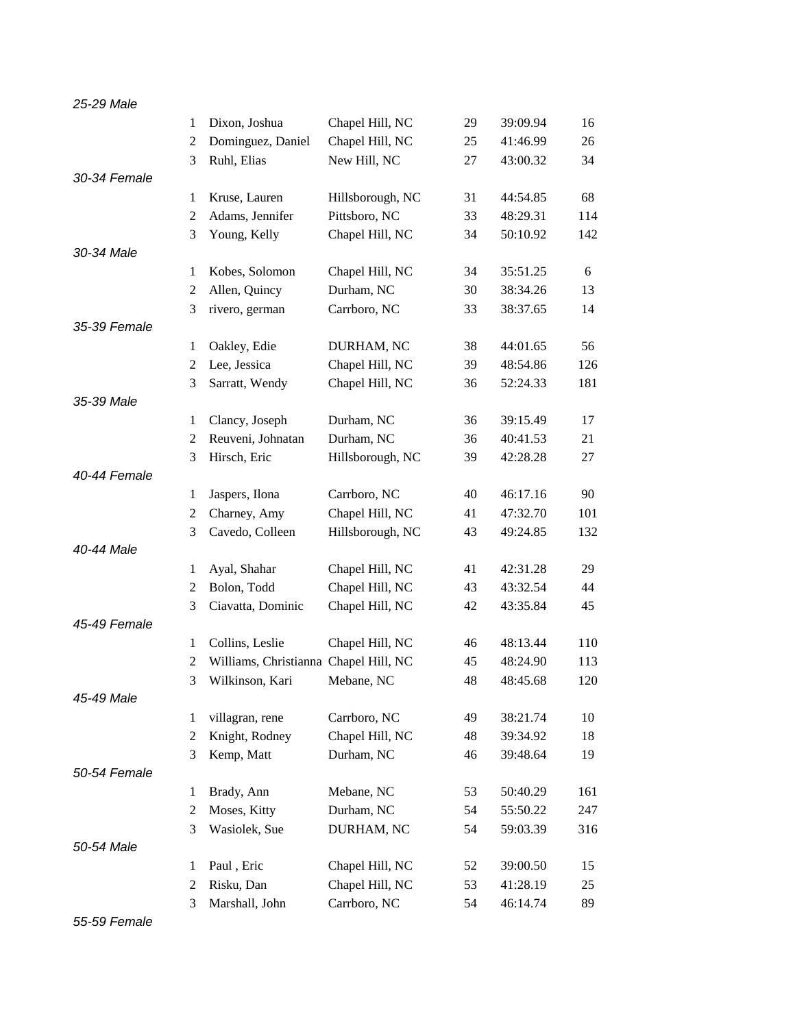| 25-29 Male   |                |                                       |                  |             |          |     |
|--------------|----------------|---------------------------------------|------------------|-------------|----------|-----|
|              | 1              | Dixon, Joshua                         | Chapel Hill, NC  | 29          | 39:09.94 | 16  |
|              | $\overline{2}$ | Dominguez, Daniel                     | Chapel Hill, NC  | 25          | 41:46.99 | 26  |
|              | 3              | Ruhl, Elias                           | New Hill, NC     | 27          | 43:00.32 | 34  |
| 30-34 Female |                |                                       |                  |             |          |     |
|              | 1              | Kruse, Lauren                         | Hillsborough, NC | 31          | 44:54.85 | 68  |
|              | $\overline{2}$ | Adams, Jennifer                       | Pittsboro, NC    | 33          | 48:29.31 | 114 |
|              | 3              | Young, Kelly                          | Chapel Hill, NC  | 34          | 50:10.92 | 142 |
| 30-34 Male   |                |                                       |                  |             |          |     |
|              | 1              | Kobes, Solomon                        | Chapel Hill, NC  | 34          | 35:51.25 | 6   |
|              | 2              | Allen, Quincy                         | Durham, NC       | 30          | 38:34.26 | 13  |
|              | 3              | rivero, german                        | Carrboro, NC     | 33          | 38:37.65 | 14  |
| 35-39 Female |                |                                       |                  |             |          |     |
|              | 1              | Oakley, Edie                          | DURHAM, NC       | 38          | 44:01.65 | 56  |
|              | 2              | Lee, Jessica                          | Chapel Hill, NC  | 39          | 48:54.86 | 126 |
|              | 3              | Sarratt, Wendy                        | Chapel Hill, NC  | 36          | 52:24.33 | 181 |
| 35-39 Male   |                |                                       |                  |             |          |     |
|              | 1              | Clancy, Joseph                        | Durham, NC       | 36          | 39:15.49 | 17  |
|              | $\overline{2}$ | Reuveni, Johnatan                     | Durham, NC       | 36          | 40:41.53 | 21  |
|              | 3              | Hirsch, Eric                          | Hillsborough, NC | 39          | 42:28.28 | 27  |
| 40-44 Female |                |                                       |                  |             |          |     |
|              | 1              | Jaspers, Ilona                        | Carrboro, NC     | 40          | 46:17.16 | 90  |
|              | 2              | Charney, Amy                          | Chapel Hill, NC  | 41          | 47:32.70 | 101 |
|              | 3              | Cavedo, Colleen                       | Hillsborough, NC | 43          | 49:24.85 | 132 |
| 40-44 Male   |                |                                       |                  |             |          |     |
|              | 1              | Ayal, Shahar                          | Chapel Hill, NC  | 41          | 42:31.28 | 29  |
|              | $\overline{c}$ | Bolon, Todd                           | Chapel Hill, NC  | 43          | 43:32.54 | 44  |
|              | 3              | Ciavatta, Dominic                     | Chapel Hill, NC  | 42          | 43:35.84 | 45  |
| 45-49 Female |                |                                       |                  |             |          |     |
|              | $\mathbf{1}$   | Collins, Leslie                       | Chapel Hill, NC  | 46          | 48:13.44 | 110 |
|              | 2              | Williams, Christianna Chapel Hill, NC |                  | 45          | 48:24.90 | 113 |
|              | $\mathfrak{Z}$ | Wilkinson, Kari Mebane, NC            |                  | $\sqrt{48}$ | 48:45.68 | 120 |
| 45-49 Male   |                |                                       |                  |             |          |     |
|              | $\mathbf{1}$   | villagran, rene                       | Carrboro, NC     | 49          | 38:21.74 | 10  |
|              | $\overline{c}$ | Knight, Rodney                        | Chapel Hill, NC  | 48          | 39:34.92 | 18  |
|              | 3              | Kemp, Matt                            | Durham, NC       | 46          | 39:48.64 | 19  |
| 50-54 Female |                |                                       |                  |             |          |     |
|              | 1              | Brady, Ann                            | Mebane, NC       | 53          | 50:40.29 | 161 |
|              | 2              | Moses, Kitty                          | Durham, NC       | 54          | 55:50.22 | 247 |
|              | 3              | Wasiolek, Sue                         | DURHAM, NC       | 54          | 59:03.39 | 316 |
| 50-54 Male   |                |                                       |                  |             |          |     |
|              | 1              | Paul, Eric                            | Chapel Hill, NC  | 52          | 39:00.50 | 15  |
|              | $\overline{2}$ | Risku, Dan                            | Chapel Hill, NC  | 53          | 41:28.19 | 25  |
|              | 3              | Marshall, John                        | Carrboro, NC     | 54          | 46:14.74 | 89  |

*55-59 Female*